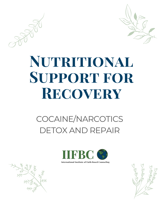

# NUTRITIONAL SUPPORT FOR RECOVERY

### COCAINE/NARCOTICS **DETOX AND REPAIR**



**International Institute of Faith Based Counseling** 

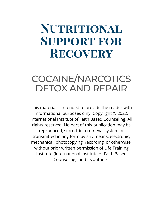## **Nutritional Support for Recovery**

#### COCAINE/NARCOTICS DETOX AND REPAIR

This material is intended to provide the reader with informational purposes only. Copyright © 2022, International Institute of Faith Based Counseling. All rights reserved. No part of this publication may be reproduced, stored, in a retrieval system or transmitted in any form by any means, electronic, mechanical, photocopying, recording, or otherwise, without prior written permission of Life Training Institute (International Institute of Faith Based Counseling), and its authors.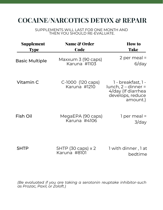#### **COCAINE/NARCOTICS DETOX & REPAIR**

SUPPLEMENTS WILL LAST FOR ONE MONTH AND THEN YOU SHOULD RE-EVALUATE.

| <b>Supplement</b><br><b>Type</b> | <b>Name &amp; Order</b><br><b>Code</b> | <b>How to</b><br>Take                                                                           |
|----------------------------------|----------------------------------------|-------------------------------------------------------------------------------------------------|
| <b>Basic Multiple</b>            | Maxxum 3 (90 caps)<br>Karuna #1103     | 2 per meal $=$<br>$6$ /day                                                                      |
| Vitamin C                        | C-1000 (120 caps)<br>Karuna #1210      | 1 - breakfast, 1 -<br>$lunch, 2-dinner =$<br>4/day (If diarrhea<br>develops, reduce<br>amount.) |
| Fish Oil                         | MegaEPA (90 caps)<br>Karuna #4106      | 1 per meal =<br>$3$ /day                                                                        |
| 5HTP                             | 5HTP (30 caps) x 2<br>Karuna #8101     | 1 with dinner, 1 at<br>bedtime                                                                  |

*(Be evaluated if you are taking a serotonin reuptake inhibitor-such as Prozac, Paxil, or Zoloft.)*